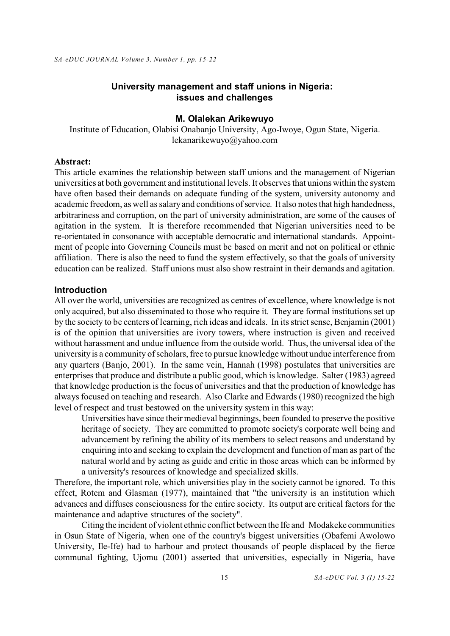## **University management and staff unions in Nigeria: issues and challenges**

### **M. Olalekan Arikewuyo**

Institute of Education, Olabisi Onabanjo University, Ago-Iwoye, Ogun State, Nigeria. lekanarikewuyo@yahoo.com

# **Abstract:**

This article examines the relationship between staff unions and the management of Nigerian universities at both government and institutional levels. It observes that unions within the system have often based their demands on adequate funding of the system, university autonomy and academic freedom, as well as salary and conditions of service. It also notes that high handedness, arbitrariness and corruption, on the part of university administration, are some of the causes of agitation in the system. It is therefore recommended that Nigerian universities need to be re-orientated in consonance with acceptable democratic and international standards. Appointment of people into Governing Councils must be based on merit and not on political or ethnic affiliation. There is also the need to fund the system effectively, so that the goals of university education can be realized. Staff unions must also show restraint in their demands and agitation.

#### **Introduction**

All over the world, universities are recognized as centres of excellence, where knowledge is not only acquired, but also disseminated to those who require it. They are formal institutions set up by the society to be centers of learning, rich ideas and ideals. In its strict sense, Benjamin (2001) is of the opinion that universities are ivory towers, where instruction is given and received without harassment and undue influence from the outside world. Thus, the universal idea of the university is a community of scholars, free to pursue knowledge without undue interference from any quarters (Banjo, 2001). In the same vein, Hannah (1998) postulates that universities are enterprises that produce and distribute a public good, which is knowledge. Salter (1983) agreed that knowledge production is the focus of universities and that the production of knowledge has always focused on teaching and research. Also Clarke and Edwards (1980) recognized the high level of respect and trust bestowed on the university system in this way:

Universities have since their medieval beginnings, been founded to preserve the positive heritage of society. They are committed to promote society's corporate well being and advancement by refining the ability of its members to select reasons and understand by enquiring into and seeking to explain the development and function of man as part of the natural world and by acting as guide and critic in those areas which can be informed by a university's resources of knowledge and specialized skills.

Therefore, the important role, which universities play in the society cannot be ignored. To this effect, Rotem and Glasman (1977), maintained that "the university is an institution which advances and diffuses consciousness for the entire society. Its output are critical factors for the maintenance and adaptive structures of the society".

Citing the incident of violent ethnic conflict between the Ife and Modakeke communities in Osun State of Nigeria, when one of the country's biggest universities (Obafemi Awolowo University, Ile-Ife) had to harbour and protect thousands of people displaced by the fierce communal fighting, Ujomu (2001) asserted that universities, especially in Nigeria, have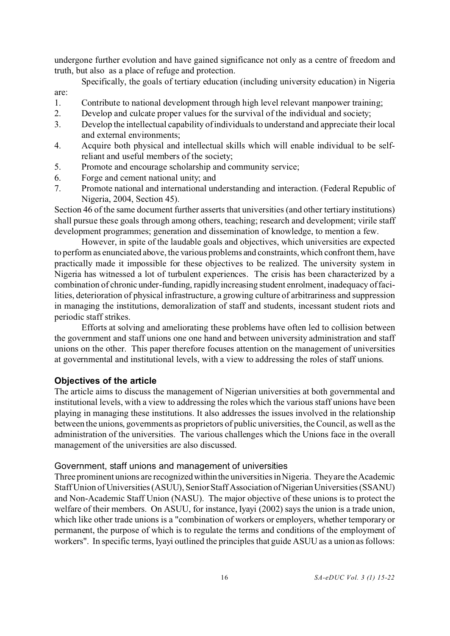undergone further evolution and have gained significance not only as a centre of freedom and truth, but also as a place of refuge and protection.

Specifically, the goals of tertiary education (including university education) in Nigeria are:

- 1. Contribute to national development through high level relevant manpower training;
- 2. Develop and culcate proper values for the survival of the individual and society;
- 3. Develop the intellectual capability of individuals to understand and appreciate their local and external environments;
- 4. Acquire both physical and intellectual skills which will enable individual to be selfreliant and useful members of the society;
- 5. Promote and encourage scholarship and community service;
- 6. Forge and cement national unity; and
- 7. Promote national and international understanding and interaction. (Federal Republic of Nigeria, 2004, Section 45).

Section 46 of the same document further asserts that universities (and other tertiary institutions) shall pursue these goals through among others, teaching; research and development; virile staff development programmes; generation and dissemination of knowledge, to mention a few.

However, in spite of the laudable goals and objectives, which universities are expected to perform as enunciated above, the various problems and constraints, which confront them, have practically made it impossible for these objectives to be realized. The university system in Nigeria has witnessed a lot of turbulent experiences. The crisis has been characterized by a combination of chronic under-funding, rapidly increasing student enrolment, inadequacy of facilities, deterioration of physical infrastructure, a growing culture of arbitrariness and suppression in managing the institutions, demoralization of staff and students, incessant student riots and periodic staff strikes.

Efforts at solving and ameliorating these problems have often led to collision between the government and staff unions one one hand and between university administration and staff unions on the other. This paper therefore focuses attention on the management of universities at governmental and institutional levels, with a view to addressing the roles of staff unions.

#### **Objectives of the article**

The article aims to discuss the management of Nigerian universities at both governmental and institutional levels, with a view to addressing the roles which the various staff unions have been playing in managing these institutions. It also addresses the issues involved in the relationship between the unions, governments as proprietors of public universities, the Council, as well as the administration of the universities. The various challenges which the Unions face in the overall management of the universities are also discussed.

## Government, staff unions and management of universities

Three prominent unions are recognized withinthe universities in Nigeria. They are the Academic Staff Union of Universities (ASUU), Senior Staff Association of Nigerian Universities (SSANU) and Non-Academic Staff Union (NASU). The major objective of these unions is to protect the welfare of their members. On ASUU, for instance, Iyayi (2002) says the union is a trade union, which like other trade unions is a "combination of workers or employers, whether temporary or permanent, the purpose of which is to regulate the terms and conditions of the employment of workers". In specific terms, Iyayi outlined the principles that guide ASUU as a union as follows: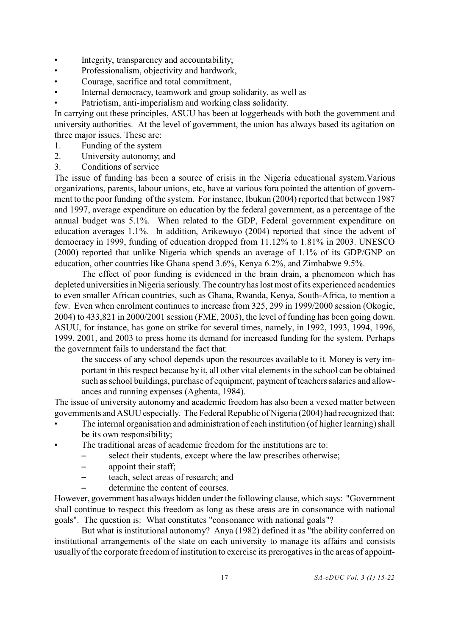- Integrity, transparency and accountability;
- Professionalism, objectivity and hardwork,
- Courage, sacrifice and total commitment,
- Internal democracy, teamwork and group solidarity, as well as
- Patriotism, anti-imperialism and working class solidarity.

In carrying out these principles, ASUU has been at loggerheads with both the government and university authorities. At the level of government, the union has always based its agitation on three major issues. These are:

- 1. Funding of the system
- 2. University autonomy; and
- 3. Conditions of service

The issue of funding has been a source of crisis in the Nigeria educational system.Various organizations, parents, labour unions, etc, have at various fora pointed the attention of government to the poor funding of the system. For instance, Ibukun (2004) reported that between 1987 and 1997, average expenditure on education by the federal government, as a percentage of the annual budget was 5.1%. When related to the GDP, Federal government expenditure on education averages 1.1%. In addition, Arikewuyo (2004) reported that since the advent of democracy in 1999, funding of education dropped from 11.12% to 1.81% in 2003. UNESCO (2000) reported that unlike Nigeria which spends an average of 1.1% of its GDP/GNP on education, other countries like Ghana spend 3.6%, Kenya 6.2%, and Zimbabwe 9.5%.

The effect of poor funding is evidenced in the brain drain, a phenomeon which has depleted universities in Nigeria seriously. The country has lost most of its experienced academics to even smaller African countries, such as Ghana, Rwanda, Kenya, South-Africa, to mention a few. Even when enrolment continues to increase from 325, 299 in 1999/2000 session (Okogie, 2004) to 433,821 in 2000/2001 session (FME, 2003), the level of funding has been going down. ASUU, for instance, has gone on strike for several times, namely, in 1992, 1993, 1994, 1996, 1999, 2001, and 2003 to press home its demand for increased funding for the system. Perhaps the government fails to understand the fact that:

the success of any school depends upon the resources available to it. Money is very important in this respect because by it, all other vital elements in the school can be obtained such as school buildings, purchase of equipment, payment of teachers salaries and allowances and running expenses (Aghenta, 1984).

The issue of university autonomy and academic freedom has also been a vexed matter between governments and ASUU especially. The Federal Republic of Nigeria (2004) had recognized that:

- The internal organisation and administration of each institution (of higher learning) shall be its own responsibility;
- The traditional areas of academic freedom for the institutions are to:
	- select their students, except where the law prescribes otherwise;
	- $-$  appoint their staff;
	- teach, select areas of research: and
	- determine the content of courses.

However, government has always hidden under the following clause, which says: "Government shall continue to respect this freedom as long as these areas are in consonance with national goals". The question is: What constitutes "consonance with national goals"?

But what is institutional autonomy? Anya (1982) defined it as "the ability conferred on institutional arrangements of the state on each university to manage its affairs and consists usually of the corporate freedom of institution to exercise its prerogatives in the areas of appoint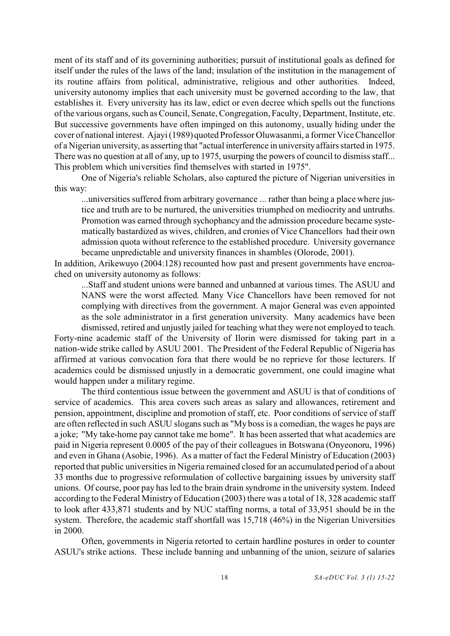ment of its staff and of its governining authorities; pursuit of institutional goals as defined for itself under the rules of the laws of the land; insulation of the institution in the management of its routine affairs from political, administrative, religious and other authorities. Indeed, university autonomy implies that each university must be governed according to the law, that establishes it. Every university has its law, edict or even decree which spells out the functions of the various organs, such as Council, Senate, Congregation, Faculty, Department, Institute, etc. But successive governments have often impinged on this autonomy, usually hiding under the cover of national interest. Ajayi (1989) quoted Professor Oluwasanmi, a former Vice Chancellor of a Nigerian university, as asserting that "actual interference in university affairs started in 1975. There was no question at all of any, up to 1975, usurping the powers of council to dismiss staff... This problem which universities find themselves with started in 1975".

One of Nigeria's reliable Scholars, also captured the picture of Nigerian universities in this way:

...universities suffered from arbitrary governance ... rather than being a place where justice and truth are to be nurtured, the universities triumphed on mediocrity and untruths. Promotion was earned through sychophancy and the admission procedure became systematically bastardized as wives, children, and cronies of Vice Chancellors had their own admission quota without reference to the established procedure. University governance became unpredictable and university finances in shambles (Olorode, 2001).

In addition, Arikewuyo (2004:128) recounted how past and present governments have encroached on university autonomy as follows:

...Staff and student unions were banned and unbanned at various times. The ASUU and NANS were the worst affected. Many Vice Chancellors have been removed for not complying with directives from the government. A major General was even appointed as the sole administrator in a first generation university. Many academics have been dismissed, retired and unjustly jailed for teaching what they were not employed to teach.

Forty-nine academic staff of the University of Ilorin were dismissed for taking part in a nation-wide strike called by ASUU 2001. The President of the Federal Republic of Nigeria has affirmed at various convocation fora that there would be no reprieve for those lecturers. If academics could be dismissed unjustly in a democratic government, one could imagine what would happen under a military regime.

The third contentious issue between the government and ASUU is that of conditions of service of academics. This area covers such areas as salary and allowances, retirement and pension, appointment, discipline and promotion of staff, etc. Poor conditions of service of staff are often reflected in such ASUU slogans such as "My boss is a comedian, the wages he pays are a joke; "My take-home pay cannot take me home". It has been asserted that what academics are paid in Nigeria represent 0.0005 of the pay of their colleagues in Botswana (Onyeonoru, 1996) and even in Ghana (Asobie, 1996). As a matter of fact the Federal Ministry of Education (2003) reported that public universities in Nigeria remained closed for an accumulated period of a about 33 months due to progressive reformulation of collective bargaining issues by university staff unions. Of course, poor pay has led to the brain drain syndrome in the university system. Indeed according to the Federal Ministry of Education (2003) there was a total of 18, 328 academic staff to look after 433,871 students and by NUC staffing norms, a total of 33,951 should be in the system. Therefore, the academic staff shortfall was 15,718 (46%) in the Nigerian Universities in 2000.

Often, governments in Nigeria retorted to certain hardline postures in order to counter ASUU's strike actions. These include banning and unbanning of the union, seizure of salaries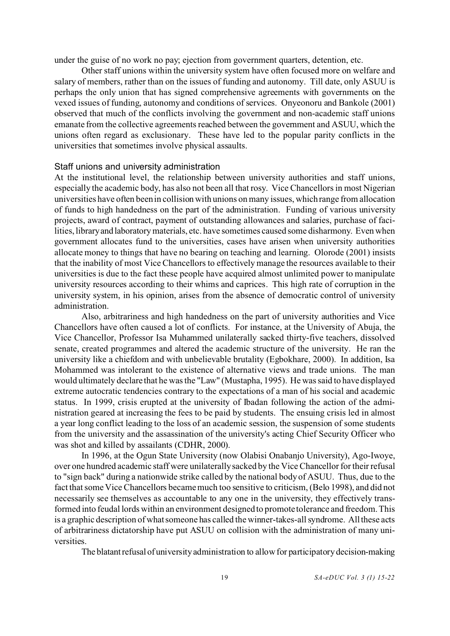under the guise of no work no pay; ejection from government quarters, detention, etc.

Other staff unions within the university system have often focused more on welfare and salary of members, rather than on the issues of funding and autonomy. Till date, only ASUU is perhaps the only union that has signed comprehensive agreements with governments on the vexed issues of funding, autonomy and conditions of services. Onyeonoru and Bankole (2001) observed that much of the conflicts involving the government and non-academic staff unions emanate from the collective agreements reached between the government and ASUU, which the unions often regard as exclusionary. These have led to the popular parity conflicts in the universities that sometimes involve physical assaults.

#### Staff unions and university administration

At the institutional level, the relationship between university authorities and staff unions, especially the academic body, has also not been all that rosy. Vice Chancellors in most Nigerian universities have often been in collision with unions on many issues, which range from allocation of funds to high handedness on the part of the administration. Funding of various university projects, award of contract, payment of outstanding allowances and salaries, purchase of facilities, libraryand laboratory materials, etc. have sometimes caused some disharmony. Even when government allocates fund to the universities, cases have arisen when university authorities allocate money to things that have no bearing on teaching and learning. Olorode (2001) insists that the inability of most Vice Chancellors to effectively manage the resources available to their universities is due to the fact these people have acquired almost unlimited power to manipulate university resources according to their whims and caprices. This high rate of corruption in the university system, in his opinion, arises from the absence of democratic control of university administration.

Also, arbitrariness and high handedness on the part of university authorities and Vice Chancellors have often caused a lot of conflicts. For instance, at the University of Abuja, the Vice Chancellor, Professor Isa Muhammed unilaterally sacked thirty-five teachers, dissolved senate, created programmes and altered the academic structure of the university. He ran the university like a chiefdom and with unbelievable brutality (Egbokhare, 2000). In addition, Isa Mohammed was intolerant to the existence of alternative views and trade unions. The man would ultimately declare that he was the "Law" (Mustapha, 1995). He was said to have displayed extreme autocratic tendencies contrary to the expectations of a man of his social and academic status. In 1999, crisis erupted at the university of Ibadan following the action of the administration geared at increasing the fees to be paid by students. The ensuing crisis led in almost a year long conflict leading to the loss of an academic session, the suspension of some students from the university and the assassination of the university's acting Chief Security Officer who was shot and killed by assailants (CDHR, 2000).

In 1996, at the Ogun State University (now Olabisi Onabanjo University), Ago-Iwoye, over one hundred academic staff were unilaterally sacked by the Vice Chancellor for their refusal to "sign back" during a nationwide strike called by the national body of ASUU. Thus, due to the fact that some Vice Chancellors became much too sensitive to criticism, (Belo 1998), and did not necessarily see themselves as accountable to any one in the university, they effectively transformed into feudal lords within an environment designed to promote tolerance and freedom. This is a graphic description of what someone has called the winner-takes-all syndrome. All these acts of arbitrariness dictatorship have put ASUU on collision with the administration of many universities.

The blatant refusal of university administration to allow for participatory decision-making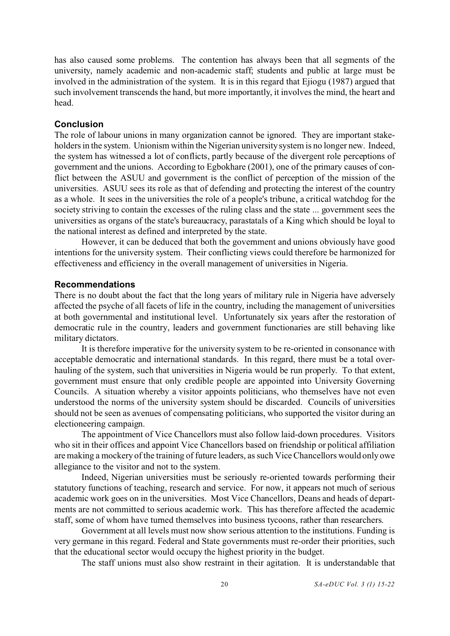has also caused some problems. The contention has always been that all segments of the university, namely academic and non-academic staff; students and public at large must be involved in the administration of the system. It is in this regard that Ejiogu (1987) argued that such involvement transcends the hand, but more importantly, it involves the mind, the heart and head.

## **Conclusion**

The role of labour unions in many organization cannot be ignored. They are important stakeholders in the system. Unionism within the Nigerian university system is no longer new. Indeed, the system has witnessed a lot of conflicts, partly because of the divergent role perceptions of government and the unions. According to Egbokhare (2001), one of the primary causes of conflict between the ASUU and government is the conflict of perception of the mission of the universities. ASUU sees its role as that of defending and protecting the interest of the country as a whole. It sees in the universities the role of a people's tribune, a critical watchdog for the society striving to contain the excesses of the ruling class and the state ... government sees the universities as organs of the state's bureaucracy, parastatals of a King which should be loyal to the national interest as defined and interpreted by the state.

However, it can be deduced that both the government and unions obviously have good intentions for the university system. Their conflicting views could therefore be harmonized for effectiveness and efficiency in the overall management of universities in Nigeria.

### **Recommendations**

There is no doubt about the fact that the long years of military rule in Nigeria have adversely affected the psyche of all facets of life in the country, including the management of universities at both governmental and institutional level. Unfortunately six years after the restoration of democratic rule in the country, leaders and government functionaries are still behaving like military dictators.

It is therefore imperative for the university system to be re-oriented in consonance with acceptable democratic and international standards. In this regard, there must be a total overhauling of the system, such that universities in Nigeria would be run properly. To that extent, government must ensure that only credible people are appointed into University Governing Councils. A situation whereby a visitor appoints politicians, who themselves have not even understood the norms of the university system should be discarded. Councils of universities should not be seen as avenues of compensating politicians, who supported the visitor during an electioneering campaign.

The appointment of Vice Chancellors must also follow laid-down procedures. Visitors who sit in their offices and appoint Vice Chancellors based on friendship or political affiliation are making a mockery of the training of future leaders, as such Vice Chancellors would only owe allegiance to the visitor and not to the system.

Indeed, Nigerian universities must be seriously re-oriented towards performing their statutory functions of teaching, research and service. For now, it appears not much of serious academic work goes on in the universities. Most Vice Chancellors, Deans and heads of departments are not committed to serious academic work. This has therefore affected the academic staff, some of whom have turned themselves into business tycoons, rather than researchers.

Government at all levels must now show serious attention to the institutions. Funding is very germane in this regard. Federal and State governments must re-order their priorities, such that the educational sector would occupy the highest priority in the budget.

The staff unions must also show restraint in their agitation. It is understandable that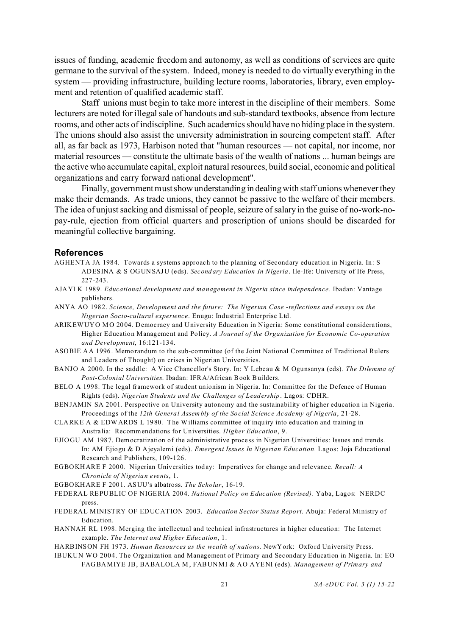issues of funding, academic freedom and autonomy, as well as conditions of services are quite germane to the survival of the system. Indeed, money is needed to do virtually everything in the system — providing infrastructure, building lecture rooms, laboratories, library, even employment and retention of qualified academic staff.

Staff unions must begin to take more interest in the discipline of their members. Some lecturers are noted for illegal sale of handouts and sub-standard textbooks, absence from lecture rooms, and other acts of indiscipline. Such academics should have no hiding place in the system. The unions should also assist the university administration in sourcing competent staff. After all, as far back as 1973, Harbison noted that "human resources — not capital, nor income, nor material resources — constitute the ultimate basis of the wealth of nations ... human beings are the active who accumulate capital, exploit natural resources, build social, economic and political organizations and carry forward national development".

Finally, government must show understanding in dealing with staff unions whenever they make their demands. As trade unions, they cannot be passive to the welfare of their members. The idea of unjust sacking and dismissal of people, seizure of salary in the guise of no-work-nopay-rule, ejection from official quarters and proscription of unions should be discarded for meaningful collective bargaining.

#### **References**

- AGHENTA JA 1984. Towards a systems approach to the planning of Secondary education in Nigeria. In: S ADESINA & S OGUNSAJU (eds). *Secondary Education In Nigeria*. Ile-Ife: University of Ife Press, 227-243.
- AJAYI K 1989. *Educational development and management in Nigeria since independence*. Ibadan: Vantage publishers.
- ANYA AO 1982. *Science, Development and the future: The Nigerian Case -reflections and essays on the Nigerian Socio-cultural experience*. Enugu: Industrial Enterprise Ltd.
- ARIKEWUYO MO 2004. Democracy and University Education in Nigeria: Some constitutional considerations, Higher Education Management and Policy. *A Journal of the Organization for Economic Co-operation and Development*, 16:121-134.
- ASOBIE AA 1996. Memorandum to the sub-committee (of the Joint National Committee of Traditional Rulers and Leaders of Thought) on crises in Nigerian Universities.
- BANJO A 2000. In the saddle: A Vice Chancellor's Story. In: Y Lebeau & M Ogunsanya (eds). *The Dilemma of Post-Colonial Universities*. Ibadan: IFRA/African Book Builders.
- BELO A 1998. The legal framework of student unionism in Nigeria. In: Committee for the Defence of Human Rights (eds). *Nigerian Students and the Challenges of Leadership*. Lagos: CDHR.
- BENJAMIN SA 2001. Perspective on University autonomy and the sustainability of higher education in Nigeria. Proceedings of the *12th General Assembly of the Social Science Academy of Nigeria*, 21-28.
- CLARKE A & EDWARDS L 1980. The Williams committee of inquiry into education and training in Australia: Recommendations for Universities. *Higher Education*, 9.
- EJIOGU AM 1987. Democratization of the administrative process in Nigerian Universities: Issues and trends. In: AM Ejiogu & D Ajeyalemi (eds). *Emergent Issues In Nigerian Education.* Lagos: Joja Educational Research and Publishers, 109-126.
- EGBOKHARE F 2000. Nigerian Universities today: Imperatives for change and relevance. *Recall: A Chronicle of Nigerian events*, 1.
- EGBOKHARE F 2001. ASUU's albatross. *The Scholar*, 16-19.
- FEDERAL REPUBLIC OF NIGERIA 2004. *National Policy on Education (Revised).* Yaba, Lagos: NERDC press.
- FEDERAL MINISTRY OF EDUCATION 2003. *Education Sector Status Report*. Abuja: Federal Ministry of Education.
- HANNAH RL 1998. Merging the intellectual and technical infrastructures in higher education: The Internet example. *The Internet and Higher Education*, 1.
- HARBINSON FH 1973. *Human Resources as the wealth of nations*. NewYork: Oxford University Press.
- IBUKUN WO 2004. The Organization and Management of Primary and Secondary Education in Nigeria. In: EO FAGBAMIYE JB, BABALOLA M, FABUNMI & AO AYENI (eds). *Management of Primary and*